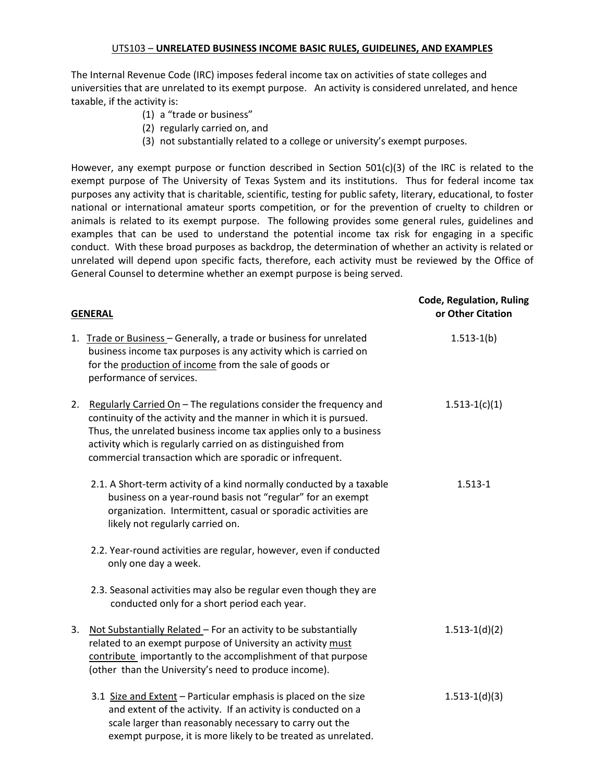The Internal Revenue Code (IRC) imposes federal income tax on activities of state colleges and universities that are unrelated to its exempt purpose. An activity is considered unrelated, and hence taxable, if the activity is:

- (1) a "trade or business"
- (2) regularly carried on, and
- (3) not substantially related to a college or university's exempt purposes.

However, any exempt purpose or function described in Section  $501(c)(3)$  of the IRC is related to the exempt purpose of The University of Texas System and its institutions. Thus for federal income tax purposes any activity that is charitable, scientific, testing for public safety, literary, educational, to foster national or international amateur sports competition, or for the prevention of cruelty to children or animals is related to its exempt purpose. The following provides some general rules, guidelines and examples that can be used to understand the potential income tax risk for engaging in a specific conduct. With these broad purposes as backdrop, the determination of whether an activity is related or unrelated will depend upon specific facts, therefore, each activity must be reviewed by the Office of General Counsel to determine whether an exempt purpose is being served.

|    | <b>GENERAL</b>                                                                                                                                                                                                                                                                                                                           | <b>Code, Regulation, Ruling</b><br>or Other Citation |
|----|------------------------------------------------------------------------------------------------------------------------------------------------------------------------------------------------------------------------------------------------------------------------------------------------------------------------------------------|------------------------------------------------------|
|    | 1. Trade or Business - Generally, a trade or business for unrelated<br>business income tax purposes is any activity which is carried on<br>for the production of income from the sale of goods or<br>performance of services.                                                                                                            | $1.513-1(b)$                                         |
| 2. | Regularly Carried On - The regulations consider the frequency and<br>continuity of the activity and the manner in which it is pursued.<br>Thus, the unrelated business income tax applies only to a business<br>activity which is regularly carried on as distinguished from<br>commercial transaction which are sporadic or infrequent. | $1.513-1(c)(1)$                                      |
|    | 2.1. A Short-term activity of a kind normally conducted by a taxable<br>business on a year-round basis not "regular" for an exempt<br>organization. Intermittent, casual or sporadic activities are<br>likely not regularly carried on.                                                                                                  | $1.513 - 1$                                          |
|    | 2.2. Year-round activities are regular, however, even if conducted<br>only one day a week.                                                                                                                                                                                                                                               |                                                      |
|    | 2.3. Seasonal activities may also be regular even though they are<br>conducted only for a short period each year.                                                                                                                                                                                                                        |                                                      |
| 3. | Not Substantially Related - For an activity to be substantially<br>related to an exempt purpose of University an activity must<br>contribute importantly to the accomplishment of that purpose<br>(other than the University's need to produce income).                                                                                  | $1.513-1(d)(2)$                                      |
|    | 3.1 Size and Extent - Particular emphasis is placed on the size<br>and extent of the activity. If an activity is conducted on a<br>scale larger than reasonably necessary to carry out the<br>exempt purpose, it is more likely to be treated as unrelated.                                                                              | $1.513-1(d)(3)$                                      |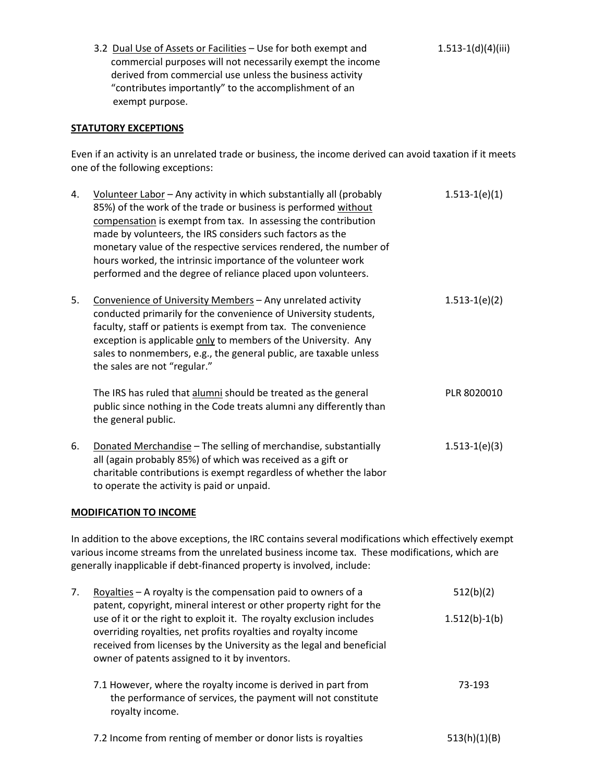3.2 Dual Use of Assets or Facilities – Use for both exempt and commercial purposes will not necessarily exempt the income derived from commercial use unless the business activity "contributes importantly" to the accomplishment of an exempt purpose.

## **STATUTORY EXCEPTIONS**

Even if an activity is an unrelated trade or business, the income derived can avoid taxation if it meets one of the following exceptions:

| 4. | Volunteer Labor - Any activity in which substantially all (probably<br>85%) of the work of the trade or business is performed without<br>compensation is exempt from tax. In assessing the contribution<br>made by volunteers, the IRS considers such factors as the<br>monetary value of the respective services rendered, the number of<br>hours worked, the intrinsic importance of the volunteer work<br>performed and the degree of reliance placed upon volunteers. | $1.513-1(e)(1)$ |
|----|---------------------------------------------------------------------------------------------------------------------------------------------------------------------------------------------------------------------------------------------------------------------------------------------------------------------------------------------------------------------------------------------------------------------------------------------------------------------------|-----------------|
| 5. | Convenience of University Members - Any unrelated activity<br>conducted primarily for the convenience of University students,<br>faculty, staff or patients is exempt from tax. The convenience<br>exception is applicable only to members of the University. Any<br>sales to nonmembers, e.g., the general public, are taxable unless<br>the sales are not "regular."                                                                                                    | $1.513-1(e)(2)$ |
|    | The IRS has ruled that alumni should be treated as the general<br>public since nothing in the Code treats alumni any differently than<br>the general public.                                                                                                                                                                                                                                                                                                              | PLR 8020010     |
| 6. | Donated Merchandise - The selling of merchandise, substantially<br>all (again probably 85%) of which was received as a gift or<br>charitable contributions is exempt regardless of whether the labor<br>to operate the activity is paid or unpaid.                                                                                                                                                                                                                        | $1.513-1(e)(3)$ |

#### **MODIFICATION TO INCOME**

In addition to the above exceptions, the IRC contains several modifications which effectively exempt various income streams from the unrelated business income tax. These modifications, which are generally inapplicable if debt-financed property is involved, include:

| 7. | Royalties – A royalty is the compensation paid to owners of a<br>patent, copyright, mineral interest or other property right for the                                                                                                                            | 512(b)(2)       |
|----|-----------------------------------------------------------------------------------------------------------------------------------------------------------------------------------------------------------------------------------------------------------------|-----------------|
|    | use of it or the right to exploit it. The royalty exclusion includes<br>overriding royalties, net profits royalties and royalty income<br>received from licenses by the University as the legal and beneficial<br>owner of patents assigned to it by inventors. | $1.512(b)-1(b)$ |
|    | 7.1 However, where the royalty income is derived in part from<br>the performance of services, the payment will not constitute<br>royalty income.                                                                                                                | 73-193          |
|    | 7.2 Income from renting of member or donor lists is royalties                                                                                                                                                                                                   | 513(h)(1)(B)    |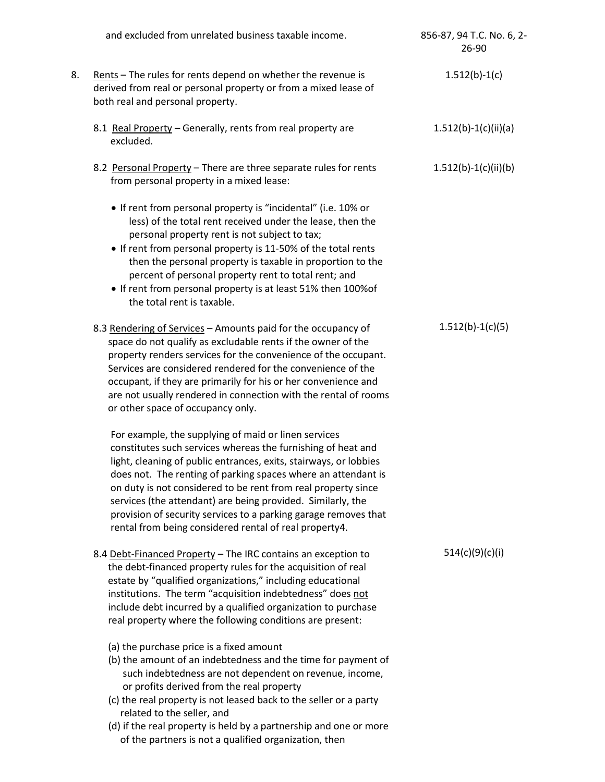|    | and excluded from unrelated business taxable income.                                                                                                                                                                                                                                                                                                                                                                                                                                                                    | 856-87, 94 T.C. No. 6, 2-<br>26-90 |
|----|-------------------------------------------------------------------------------------------------------------------------------------------------------------------------------------------------------------------------------------------------------------------------------------------------------------------------------------------------------------------------------------------------------------------------------------------------------------------------------------------------------------------------|------------------------------------|
| 8. | Rents - The rules for rents depend on whether the revenue is<br>derived from real or personal property or from a mixed lease of<br>both real and personal property.                                                                                                                                                                                                                                                                                                                                                     | $1.512(b)-1(c)$                    |
|    | 8.1 Real Property - Generally, rents from real property are<br>excluded.                                                                                                                                                                                                                                                                                                                                                                                                                                                | $1.512(b)-1(c)(ii)(a)$             |
|    | 8.2 Personal Property - There are three separate rules for rents<br>from personal property in a mixed lease:                                                                                                                                                                                                                                                                                                                                                                                                            | $1.512(b)-1(c)(ii)(b)$             |
|    | • If rent from personal property is "incidental" (i.e. 10% or<br>less) of the total rent received under the lease, then the<br>personal property rent is not subject to tax;<br>• If rent from personal property is 11-50% of the total rents<br>then the personal property is taxable in proportion to the<br>percent of personal property rent to total rent; and<br>• If rent from personal property is at least 51% then 100% of<br>the total rent is taxable.                                                      |                                    |
|    | 8.3 Rendering of Services - Amounts paid for the occupancy of<br>space do not qualify as excludable rents if the owner of the<br>property renders services for the convenience of the occupant.<br>Services are considered rendered for the convenience of the<br>occupant, if they are primarily for his or her convenience and<br>are not usually rendered in connection with the rental of rooms<br>or other space of occupancy only.                                                                                | $1.512(b)-1(c)(5)$                 |
|    | For example, the supplying of maid or linen services<br>constitutes such services whereas the furnishing of heat and<br>light, cleaning of public entrances, exits, stairways, or lobbies<br>does not. The renting of parking spaces where an attendant is<br>on duty is not considered to be rent from real property since<br>services (the attendant) are being provided. Similarly, the<br>provision of security services to a parking garage removes that<br>rental from being considered rental of real property4. |                                    |
|    | 8.4 Debt-Financed Property - The IRC contains an exception to<br>the debt-financed property rules for the acquisition of real<br>estate by "qualified organizations," including educational<br>institutions. The term "acquisition indebtedness" does not<br>include debt incurred by a qualified organization to purchase<br>real property where the following conditions are present:                                                                                                                                 | 514(c)(9)(c)(i)                    |
|    | (a) the purchase price is a fixed amount<br>(b) the amount of an indebtedness and the time for payment of<br>such indebtedness are not dependent on revenue, income,<br>or profits derived from the real property<br>(c) the real property is not leased back to the seller or a party<br>related to the seller, and<br>(d) if the real property is held by a partnership and one or more<br>of the partners is not a qualified organization, then                                                                      |                                    |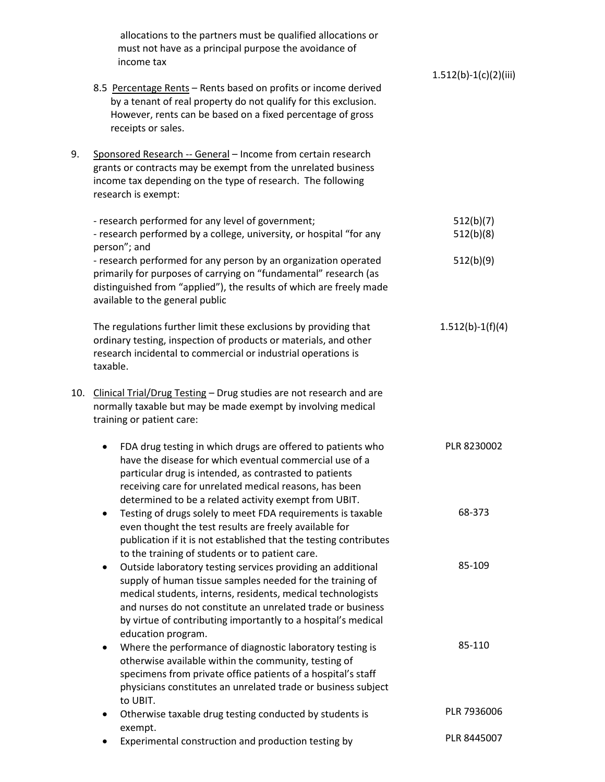|     | allocations to the partners must be qualified allocations or<br>must not have as a principal purpose the avoidance of<br>income tax                                                                                                                                                                                                  |                         |
|-----|--------------------------------------------------------------------------------------------------------------------------------------------------------------------------------------------------------------------------------------------------------------------------------------------------------------------------------------|-------------------------|
|     | 8.5 Percentage Rents - Rents based on profits or income derived<br>by a tenant of real property do not qualify for this exclusion.<br>However, rents can be based on a fixed percentage of gross<br>receipts or sales.                                                                                                               | $1.512(b)-1(c)(2)(iii)$ |
| 9.  | Sponsored Research -- General - Income from certain research<br>grants or contracts may be exempt from the unrelated business<br>income tax depending on the type of research. The following<br>research is exempt:                                                                                                                  |                         |
|     | - research performed for any level of government;<br>- research performed by a college, university, or hospital "for any<br>person"; and                                                                                                                                                                                             | 512(b)(7)<br>512(b)(8)  |
|     | - research performed for any person by an organization operated<br>primarily for purposes of carrying on "fundamental" research (as<br>distinguished from "applied"), the results of which are freely made<br>available to the general public                                                                                        | 512(b)(9)               |
|     | The regulations further limit these exclusions by providing that<br>ordinary testing, inspection of products or materials, and other<br>research incidental to commercial or industrial operations is<br>taxable.                                                                                                                    | $1.512(b)-1(f)(4)$      |
| 10. | Clinical Trial/Drug Testing - Drug studies are not research and are<br>normally taxable but may be made exempt by involving medical<br>training or patient care:                                                                                                                                                                     |                         |
|     | FDA drug testing in which drugs are offered to patients who<br>$\bullet$<br>have the disease for which eventual commercial use of a<br>particular drug is intended, as contrasted to patients<br>receiving care for unrelated medical reasons, has been<br>determined to be a related activity exempt from UBIT.                     | PLR 8230002             |
|     | Testing of drugs solely to meet FDA requirements is taxable<br>$\bullet$<br>even thought the test results are freely available for<br>publication if it is not established that the testing contributes<br>to the training of students or to patient care.                                                                           | 68-373                  |
|     | Outside laboratory testing services providing an additional<br>$\bullet$<br>supply of human tissue samples needed for the training of<br>medical students, interns, residents, medical technologists<br>and nurses do not constitute an unrelated trade or business<br>by virtue of contributing importantly to a hospital's medical | 85-109                  |
|     | education program.<br>Where the performance of diagnostic laboratory testing is<br>٠<br>otherwise available within the community, testing of<br>specimens from private office patients of a hospital's staff<br>physicians constitutes an unrelated trade or business subject<br>to UBIT.                                            | 85-110                  |
|     | Otherwise taxable drug testing conducted by students is<br>exempt.                                                                                                                                                                                                                                                                   | PLR 7936006             |
|     | Experimental construction and production testing by                                                                                                                                                                                                                                                                                  | PLR 8445007             |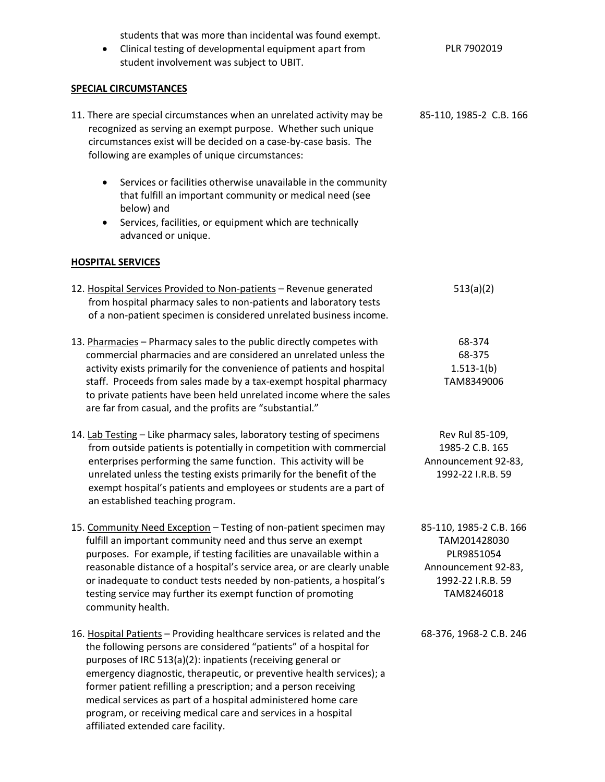students that was more than incidental was found exempt. Clinical testing of developmental equipment apart from student involvement was subject to UBIT. PLR 7902019 **SPECIAL CIRCUMSTANCES** 11. There are special circumstances when an unrelated activity may be recognized as serving an exempt purpose. Whether such unique circumstances exist will be decided on a case-by-case basis. The following are examples of unique circumstances: Services or facilities otherwise unavailable in the community that fulfill an important community or medical need (see below) and Services, facilities, or equipment which are technically advanced or unique. 85-110, 1985-2 C.B. 166 **HOSPITAL SERVICES** 12. Hospital Services Provided to Non-patients – Revenue generated from hospital pharmacy sales to non-patients and laboratory tests of a non-patient specimen is considered unrelated business income. 513(a)(2) 13. Pharmacies - Pharmacy sales to the public directly competes with commercial pharmacies and are considered an unrelated unless the activity exists primarily for the convenience of patients and hospital staff. Proceeds from sales made by a tax-exempt hospital pharmacy to private patients have been held unrelated income where the sales are far from casual, and the profits are "substantial." 68-374 68-375 1.513-1(b) TAM8349006 14. Lab Testing – Like pharmacy sales, laboratory testing of specimens from outside patients is potentially in competition with commercial enterprises performing the same function. This activity will be unrelated unless the testing exists primarily for the benefit of the exempt hospital's patients and employees or students are a part of an established teaching program. Rev Rul 85-109, 1985-2 C.B. 165 Announcement 92-83, 1992-22 I.R.B. 59 15. Community Need Exception – Testing of non-patient specimen may fulfill an important community need and thus serve an exempt purposes. For example, if testing facilities are unavailable within a reasonable distance of a hospital's service area, or are clearly unable or inadequate to conduct tests needed by non-patients, a hospital's testing service may further its exempt function of promoting community health. 85-110, 1985-2 C.B. 166 TAM201428030 PLR9851054 Announcement 92-83, 1992-22 I.R.B. 59 TAM8246018 16. Hospital Patients – Providing healthcare services is related and the the following persons are considered "patients" of a hospital for purposes of IRC 513(a)(2): inpatients (receiving general or emergency diagnostic, therapeutic, or preventive health services); a former patient refilling a prescription; and a person receiving medical services as part of a hospital administered home care 68-376, 1968-2 C.B. 246

program, or receiving medical care and services in a hospital

affiliated extended care facility.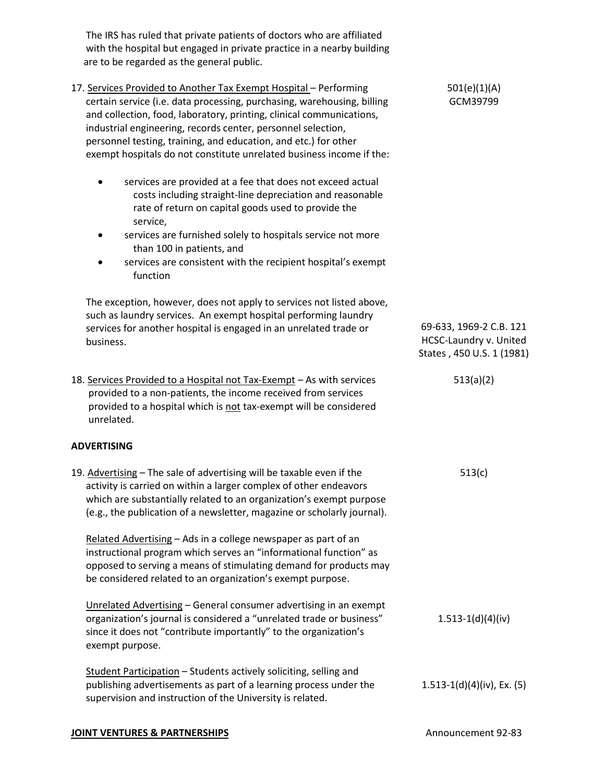The IRS has ruled that private patients of doctors who are affiliated with the hospital but engaged in private practice in a nearby building are to be regarded as the general public.

- 17. Services Provided to Another Tax Exempt Hospital Performing certain service (i.e. data processing, purchasing, warehousing, billing and collection, food, laboratory, printing, clinical communications, industrial engineering, records center, personnel selection, personnel testing, training, and education, and etc.) for other exempt hospitals do not constitute unrelated business income if the:
	- services are provided at a fee that does not exceed actual costs including straight-line depreciation and reasonable rate of return on capital goods used to provide the service,
	- services are furnished solely to hospitals service not more than 100 in patients, and
	- services are consistent with the recipient hospital's exempt function

 The exception, however, does not apply to services not listed above, such as laundry services. An exempt hospital performing laundry services for another hospital is engaged in an unrelated trade or business.

18. Services Provided to a Hospital not Tax-Exempt – As with services provided to a non-patients, the income received from services provided to a hospital which is not tax-exempt will be considered unrelated.

# **ADVERTISING**

19. Advertising – The sale of advertising will be taxable even if the activity is carried on within a larger complex of other endeavors which are substantially related to an organization's exempt purpose (e.g., the publication of a newsletter, magazine or scholarly journal).

 Related Advertising – Ads in a college newspaper as part of an instructional program which serves an "informational function" as opposed to serving a means of stimulating demand for products may be considered related to an organization's exempt purpose.

 Unrelated Advertising – General consumer advertising in an exempt organization's journal is considered a "unrelated trade or business" since it does not "contribute importantly" to the organization's exempt purpose.

 Student Participation – Students actively soliciting, selling and publishing advertisements as part of a learning process under the supervision and instruction of the University is related. 1.513-1(d)(4)(iv), Ex. (5)

#### **JOINT VENTURES & PARTNERSHIPS Announcement 92-83**

69-633, 1969-2 C.B. 121 HCSC-Laundry v. United States , 450 U.S. 1 (1981)

513(a)(2)

513(c)

1.513-1(d)(4)(iv)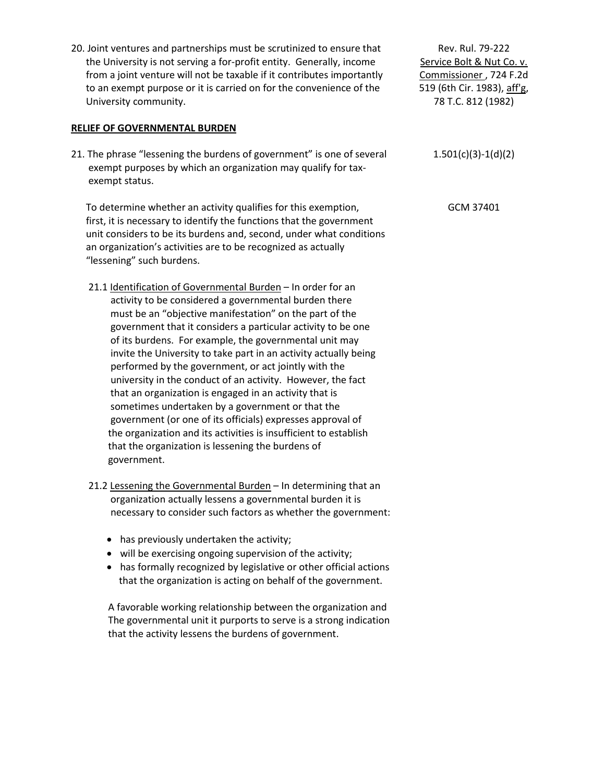20. Joint ventures and partnerships must be scrutinized to ensure that the University is not serving a for-profit entity. Generally, income from a joint venture will not be taxable if it contributes importantly to an exempt purpose or it is carried on for the convenience of the University community.

## **RELIEF OF GOVERNMENTAL BURDEN**

21. The phrase "lessening the burdens of government" is one of several exempt purposes by which an organization may qualify for tax exempt status.

 To determine whether an activity qualifies for this exemption, first, it is necessary to identify the functions that the government unit considers to be its burdens and, second, under what conditions an organization's activities are to be recognized as actually "lessening" such burdens.

- 21.1 Identification of Governmental Burden In order for an activity to be considered a governmental burden there must be an "objective manifestation" on the part of the government that it considers a particular activity to be one of its burdens. For example, the governmental unit may invite the University to take part in an activity actually being performed by the government, or act jointly with the university in the conduct of an activity. However, the fact that an organization is engaged in an activity that is sometimes undertaken by a government or that the government (or one of its officials) expresses approval of the organization and its activities is insufficient to establish that the organization is lessening the burdens of government.
- 21.2 Lessening the Governmental Burden In determining that an organization actually lessens a governmental burden it is necessary to consider such factors as whether the government:
	- has previously undertaken the activity;
	- will be exercising ongoing supervision of the activity;
	- has formally recognized by legislative or other official actions that the organization is acting on behalf of the government.

 A favorable working relationship between the organization and The governmental unit it purports to serve is a strong indication that the activity lessens the burdens of government.

Rev. Rul. 79-222 Service Bolt & Nut Co. v. Commissioner , 724 F.2d 519 (6th Cir. 1983), aff'g, 78 T.C. 812 (1982)

1.501(c)(3)-1(d)(2)

GCM 37401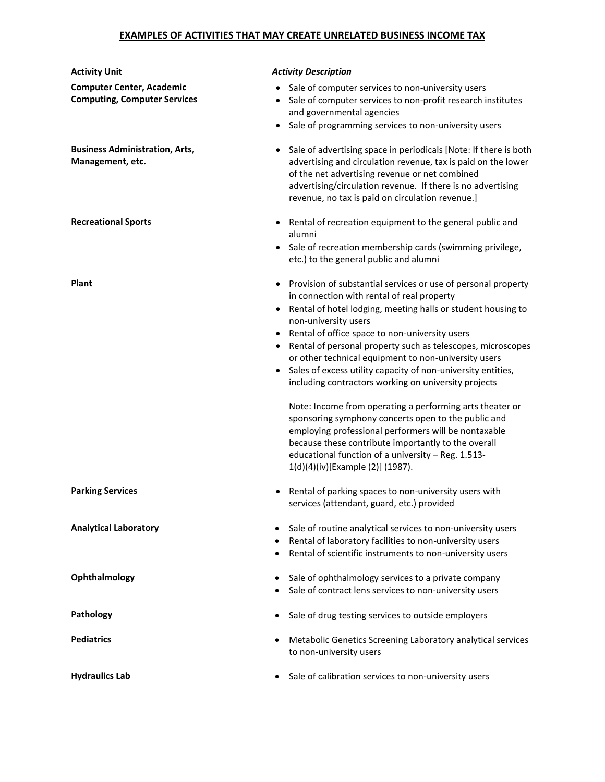# **EXAMPLES OF ACTIVITIES THAT MAY CREATE UNRELATED BUSINESS INCOME TAX**

| <b>Activity Unit</b>                                                    | <b>Activity Description</b>                                                                                                                                                                                                                                                                                                                                                                                                                                                                                                                                                                                                                                                                                                                                                                                                                                                          |  |  |
|-------------------------------------------------------------------------|--------------------------------------------------------------------------------------------------------------------------------------------------------------------------------------------------------------------------------------------------------------------------------------------------------------------------------------------------------------------------------------------------------------------------------------------------------------------------------------------------------------------------------------------------------------------------------------------------------------------------------------------------------------------------------------------------------------------------------------------------------------------------------------------------------------------------------------------------------------------------------------|--|--|
| <b>Computer Center, Academic</b><br><b>Computing, Computer Services</b> | Sale of computer services to non-university users<br>$\bullet$<br>Sale of computer services to non-profit research institutes<br>٠<br>and governmental agencies<br>Sale of programming services to non-university users<br>$\bullet$                                                                                                                                                                                                                                                                                                                                                                                                                                                                                                                                                                                                                                                 |  |  |
| <b>Business Administration, Arts,</b><br>Management, etc.               | Sale of advertising space in periodicals [Note: If there is both<br>$\bullet$<br>advertising and circulation revenue, tax is paid on the lower<br>of the net advertising revenue or net combined<br>advertising/circulation revenue. If there is no advertising<br>revenue, no tax is paid on circulation revenue.]                                                                                                                                                                                                                                                                                                                                                                                                                                                                                                                                                                  |  |  |
| <b>Recreational Sports</b>                                              | Rental of recreation equipment to the general public and<br>$\bullet$<br>alumni<br>Sale of recreation membership cards (swimming privilege,<br>etc.) to the general public and alumni                                                                                                                                                                                                                                                                                                                                                                                                                                                                                                                                                                                                                                                                                                |  |  |
| Plant                                                                   | Provision of substantial services or use of personal property<br>$\bullet$<br>in connection with rental of real property<br>Rental of hotel lodging, meeting halls or student housing to<br>$\bullet$<br>non-university users<br>Rental of office space to non-university users<br>$\bullet$<br>Rental of personal property such as telescopes, microscopes<br>$\bullet$<br>or other technical equipment to non-university users<br>Sales of excess utility capacity of non-university entities,<br>including contractors working on university projects<br>Note: Income from operating a performing arts theater or<br>sponsoring symphony concerts open to the public and<br>employing professional performers will be nontaxable<br>because these contribute importantly to the overall<br>educational function of a university - Reg. 1.513-<br>1(d)(4)(iv)[Example (2)] (1987). |  |  |
| <b>Parking Services</b>                                                 | Rental of parking spaces to non-university users with<br>services (attendant, guard, etc.) provided                                                                                                                                                                                                                                                                                                                                                                                                                                                                                                                                                                                                                                                                                                                                                                                  |  |  |
| <b>Analytical Laboratory</b>                                            | Sale of routine analytical services to non-university users<br>Rental of laboratory facilities to non-university users<br>$\bullet$<br>Rental of scientific instruments to non-university users<br>$\bullet$                                                                                                                                                                                                                                                                                                                                                                                                                                                                                                                                                                                                                                                                         |  |  |
| Ophthalmology                                                           | Sale of ophthalmology services to a private company<br>Sale of contract lens services to non-university users                                                                                                                                                                                                                                                                                                                                                                                                                                                                                                                                                                                                                                                                                                                                                                        |  |  |
| Pathology                                                               | Sale of drug testing services to outside employers<br>$\bullet$                                                                                                                                                                                                                                                                                                                                                                                                                                                                                                                                                                                                                                                                                                                                                                                                                      |  |  |
| <b>Pediatrics</b>                                                       | Metabolic Genetics Screening Laboratory analytical services<br>to non-university users                                                                                                                                                                                                                                                                                                                                                                                                                                                                                                                                                                                                                                                                                                                                                                                               |  |  |
| <b>Hydraulics Lab</b>                                                   | Sale of calibration services to non-university users<br>$\bullet$                                                                                                                                                                                                                                                                                                                                                                                                                                                                                                                                                                                                                                                                                                                                                                                                                    |  |  |